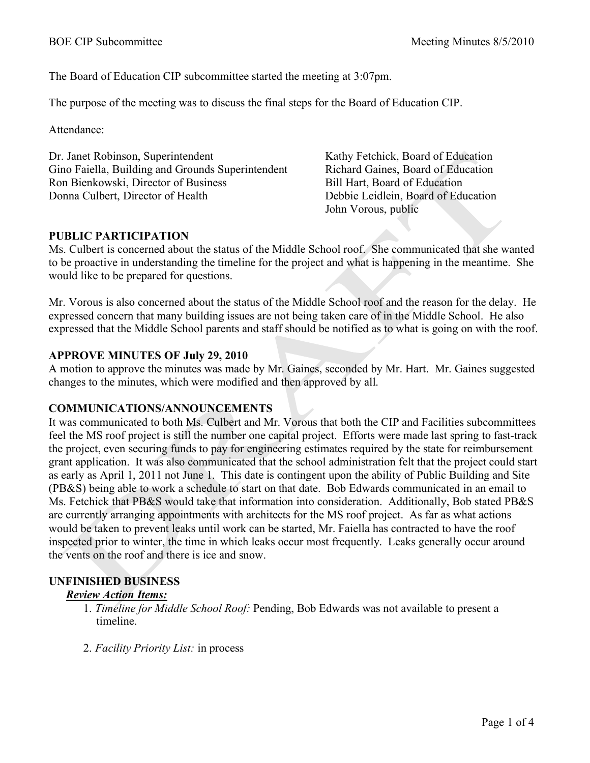The Board of Education CIP subcommittee started the meeting at 3:07pm.

The purpose of the meeting was to discuss the final steps for the Board of Education CIP.

Attendance:

Dr. Janet Robinson, Superintendent Gino Faiella, Building and Grounds Superintendent Ron Bienkowski, Director of Business Donna Culbert, Director of Health

Kathy Fetchick, Board of Education Richard Gaines, Board of Education Bill Hart, Board of Education Debbie Leidlein, Board of Education John Vorous, public

# **PUBLIC PARTICIPATION**

Ms. Culbert is concerned about the status of the Middle School roof. She communicated that she wanted to be proactive in understanding the timeline for the project and what is happening in the meantime. She would like to be prepared for questions.

Mr. Vorous is also concerned about the status of the Middle School roof and the reason for the delay. He expressed concern that many building issues are not being taken care of in the Middle School. He also expressed that the Middle School parents and staff should be notified as to what is going on with the roof.

### **APPROVE MINUTES OF July 29, 2010**

A motion to approve the minutes was made by Mr. Gaines, seconded by Mr. Hart. Mr. Gaines suggested changes to the minutes, which were modified and then approved by all.

# **COMMUNICATIONS/ANNOUNCEMENTS**

It was communicated to both Ms. Culbert and Mr. Vorous that both the CIP and Facilities subcommittees feel the MS roof project is still the number one capital project. Efforts were made last spring to fast-track the project, even securing funds to pay for engineering estimates required by the state for reimbursement grant application. It was also communicated that the school administration felt that the project could start as early as April 1, 2011 not June 1. This date is contingent upon the ability of Public Building and Site (PB&S) being able to work a schedule to start on that date. Bob Edwards communicated in an email to Ms. Fetchick that PB&S would take that information into consideration. Additionally, Bob stated PB&S are currently arranging appointments with architects for the MS roof project. As far as what actions would be taken to prevent leaks until work can be started, Mr. Faiella has contracted to have the roof inspected prior to winter, the time in which leaks occur most frequently. Leaks generally occur around the vents on the roof and there is ice and snow.

# **UNFINISHED BUSINESS**

#### *Review Action Items:*

- 1. *Timeline for Middle School Roof:* Pending, Bob Edwards was not available to present a timeline.
- 2. *Facility Priority List:* in process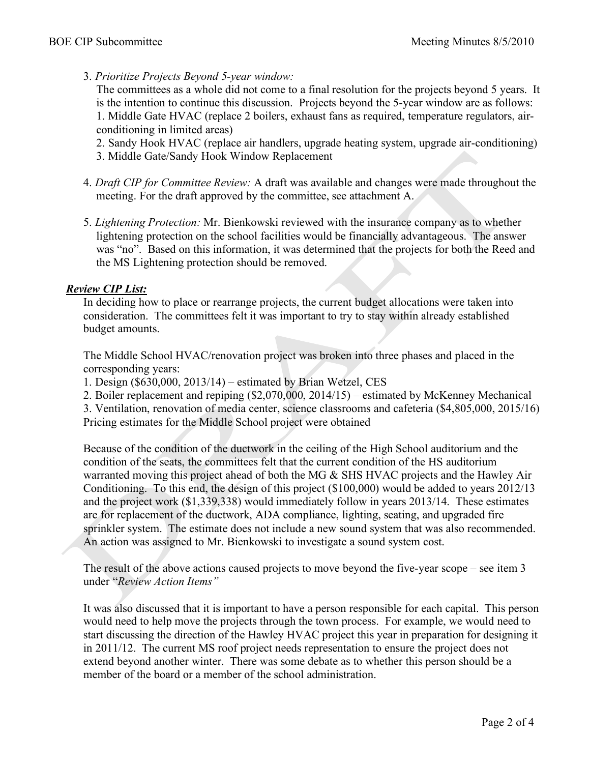3. *Prioritize Projects Beyond 5-year window:* 

The committees as a whole did not come to a final resolution for the projects beyond 5 years. It is the intention to continue this discussion. Projects beyond the 5-year window are as follows: 1. Middle Gate HVAC (replace 2 boilers, exhaust fans as required, temperature regulators, airconditioning in limited areas)

- 2. Sandy Hook HVAC (replace air handlers, upgrade heating system, upgrade air-conditioning)
- 3. Middle Gate/Sandy Hook Window Replacement
- 4. *Draft CIP for Committee Review:* A draft was available and changes were made throughout the meeting. For the draft approved by the committee, see attachment A.
- 5. *Lightening Protection:* Mr. Bienkowski reviewed with the insurance company as to whether lightening protection on the school facilities would be financially advantageous. The answer was "no". Based on this information, it was determined that the projects for both the Reed and the MS Lightening protection should be removed.

### *Review CIP List:*

In deciding how to place or rearrange projects, the current budget allocations were taken into consideration. The committees felt it was important to try to stay within already established budget amounts.

The Middle School HVAC/renovation project was broken into three phases and placed in the corresponding years:

1. Design (\$630,000, 2013/14) – estimated by Brian Wetzel, CES

2. Boiler replacement and repiping (\$2,070,000, 2014/15) – estimated by McKenney Mechanical

3. Ventilation, renovation of media center, science classrooms and cafeteria (\$4,805,000, 2015/16) Pricing estimates for the Middle School project were obtained

Because of the condition of the ductwork in the ceiling of the High School auditorium and the condition of the seats, the committees felt that the current condition of the HS auditorium warranted moving this project ahead of both the MG & SHS HVAC projects and the Hawley Air Conditioning. To this end, the design of this project (\$100,000) would be added to years 2012/13 and the project work (\$1,339,338) would immediately follow in years 2013/14. These estimates are for replacement of the ductwork, ADA compliance, lighting, seating, and upgraded fire sprinkler system. The estimate does not include a new sound system that was also recommended. An action was assigned to Mr. Bienkowski to investigate a sound system cost.

The result of the above actions caused projects to move beyond the five-year scope – see item 3 under "*Review Action Items"*

It was also discussed that it is important to have a person responsible for each capital. This person would need to help move the projects through the town process. For example, we would need to start discussing the direction of the Hawley HVAC project this year in preparation for designing it in 2011/12. The current MS roof project needs representation to ensure the project does not extend beyond another winter. There was some debate as to whether this person should be a member of the board or a member of the school administration.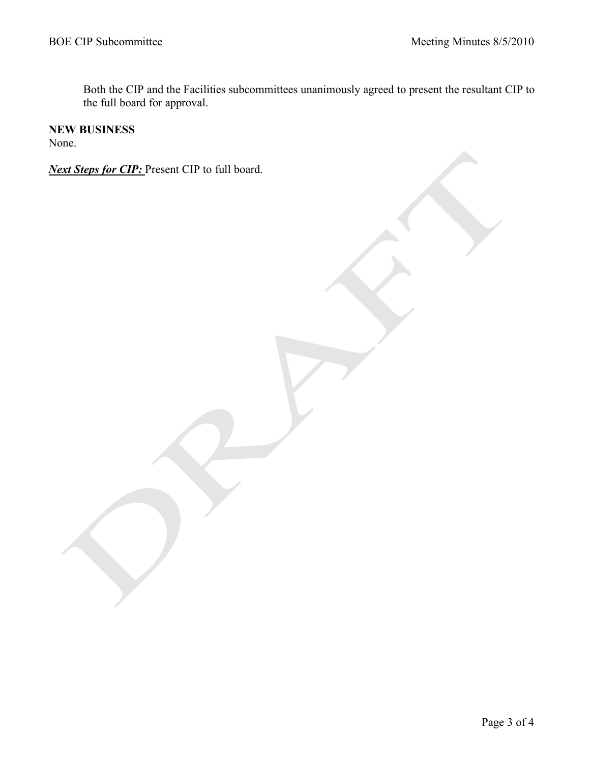Both the CIP and the Facilities subcommittees unanimously agreed to present the resultant CIP to the full board for approval.

#### **NEW BUSINESS**

None.

*Next Steps for CIP:* Present CIP to full board.